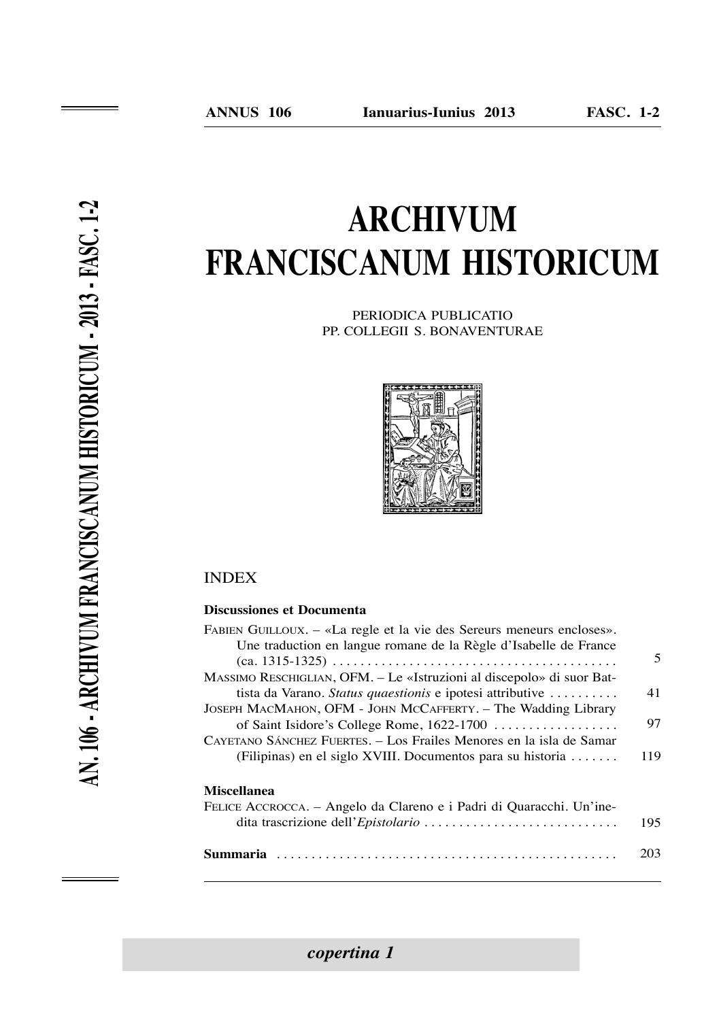# **ARCHIVUM** FRANCISCANUM HISTORICUM

PERIODICA PUBLICATIO PP. COLLEGII S. BONAVENTURAE



# **INDEX**

#### **Discussiones et Documenta**

| FABIEN GUILLOUX. – «La regle et la vie des Sereurs meneurs encloses».                                        |     |
|--------------------------------------------------------------------------------------------------------------|-----|
| Une traduction en langue romane de la Règle d'Isabelle de France                                             |     |
| $(ca. 1315-1325) \ldots \ldots \ldots \ldots \ldots \ldots \ldots \ldots \ldots \ldots \ldots \ldots \ldots$ | 5   |
| MASSIMO RESCHIGLIAN, OFM. - Le «Istruzioni al discepolo» di suor Bat-                                        |     |
| tista da Varano. Status quaestionis e ipotesi attributive $\dots\dots\dots$                                  | 41  |
| JOSEPH MACMAHON, OFM - JOHN MCCAFFERTY. - The Wadding Library                                                |     |
|                                                                                                              | 97  |
| CAYETANO SÁNCHEZ FUERTES. – Los Frailes Menores en la isla de Samar                                          |     |
| (Filipinas) en el siglo XVIII. Documentos para su historia                                                   | 119 |
| <b>Miscellanea</b>                                                                                           |     |
| FELICE ACCROCCA. – Angelo da Clareno e i Padri di Quaracchi. Un'ine-                                         |     |
|                                                                                                              | 195 |
| Summaria                                                                                                     | 203 |

copertina 1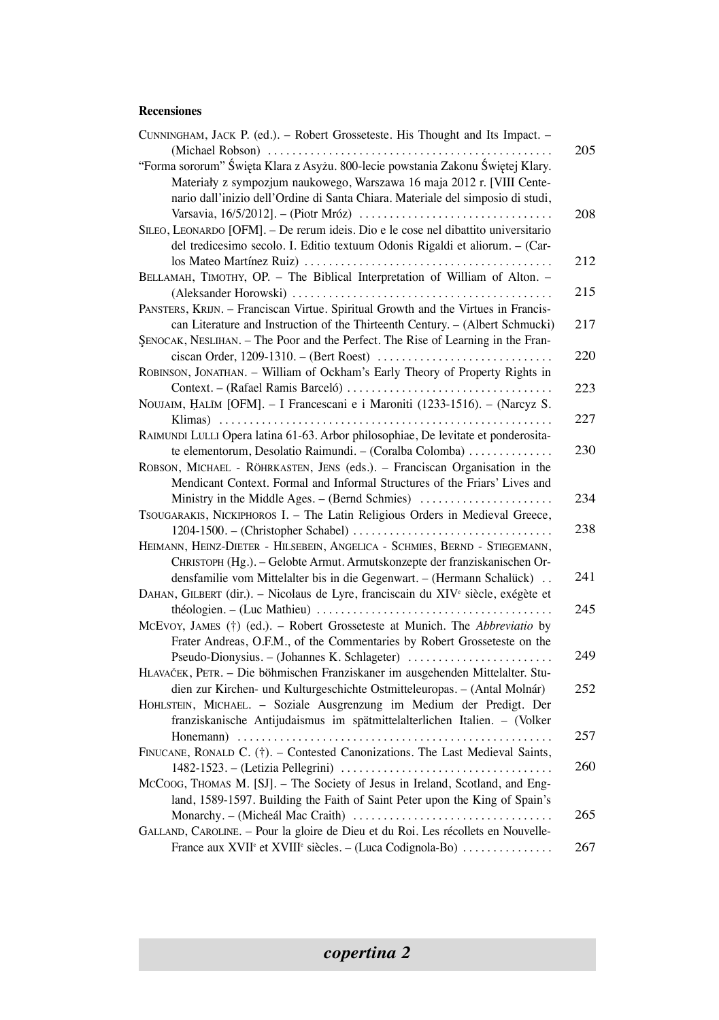# **recensiones**

| CUNNINGHAM, JACK P. (ed.). – Robert Grosseteste. His Thought and Its Impact. –                |     |
|-----------------------------------------------------------------------------------------------|-----|
|                                                                                               | 205 |
| "Forma sororum" Święta Klara z Asyżu. 800-lecie powstania Zakonu Świętej Klary.               |     |
| Materiały z sympozjum naukowego, Warszawa 16 maja 2012 r. [VIII Cente-                        |     |
| nario dall'inizio dell'Ordine di Santa Chiara. Materiale del simposio di studi,               |     |
|                                                                                               | 208 |
| SILEO, LEONARDO [OFM]. - De rerum ideis. Dio e le cose nel dibattito universitario            |     |
| del tredicesimo secolo. I. Editio textuum Odonis Rigaldi et aliorum. - (Car-                  |     |
|                                                                                               | 212 |
|                                                                                               |     |
| BELLAMAH, TIMOTHY, OP. - The Biblical Interpretation of William of Alton. -                   | 215 |
|                                                                                               |     |
| PANSTERS, KRIJN. - Franciscan Virtue. Spiritual Growth and the Virtues in Francis-            |     |
| can Literature and Instruction of the Thirteenth Century. - (Albert Schmucki)                 | 217 |
| SENOCAK, NESLIHAN. - The Poor and the Perfect. The Rise of Learning in the Fran-              |     |
|                                                                                               | 220 |
| ROBINSON, JONATHAN. - William of Ockham's Early Theory of Property Rights in                  |     |
|                                                                                               | 223 |
| NOUJAIM, HALIM [OFM]. - I Francescani e i Maroniti (1233-1516). - (Narcyz S.                  |     |
|                                                                                               | 227 |
| RAIMUNDI LULLI Opera latina 61-63. Arbor philosophiae, De levitate et ponderosita-            |     |
| te elementorum, Desolatio Raimundi. - (Coralba Colomba)                                       | 230 |
| ROBSON, MICHAEL - RÖHRKASTEN, JENS (eds.). - Franciscan Organisation in the                   |     |
| Mendicant Context. Formal and Informal Structures of the Friars' Lives and                    |     |
| Ministry in the Middle Ages. - (Bernd Schmies)                                                | 234 |
| TSOUGARAKIS, NICKIPHOROS I. - The Latin Religious Orders in Medieval Greece,                  |     |
|                                                                                               | 238 |
| HEIMANN, HEINZ-DIETER - HILSEBEIN, ANGELICA - SCHMIES, BERND - STIEGEMANN,                    |     |
| CHRISTOPH (Hg.). - Gelobte Armut. Armutskonzepte der franziskanischen Or-                     |     |
| densfamilie vom Mittelalter bis in die Gegenwart. - (Hermann Schalück)                        | 241 |
| DAHAN, GILBERT (dir.). - Nicolaus de Lyre, franciscain du XIV <sup>e</sup> siècle, exégète et |     |
|                                                                                               | 245 |
|                                                                                               |     |
| MCEVOY, JAMES (†) (ed.). - Robert Grosseteste at Munich. The Abbreviatio by                   |     |
| Frater Andreas, O.F.M., of the Commentaries by Robert Grosseteste on the                      | 249 |
| Pseudo-Dionysius. - (Johannes K. Schlageter)                                                  |     |
| HLAVAČEK, PETR. - Die böhmischen Franziskaner im ausgehenden Mittelalter. Stu-                |     |
| dien zur Kirchen- und Kulturgeschichte Ostmitteleuropas. - (Antal Molnár)                     | 252 |
| HOHLSTEIN, MICHAEL. - Soziale Ausgrenzung im Medium der Predigt. Der                          |     |
| franziskanische Antijudaismus im spätmittelalterlichen Italien. - (Volker                     |     |
|                                                                                               | 257 |
| FINUCANE, RONALD C. (†). - Contested Canonizations. The Last Medieval Saints,                 |     |
|                                                                                               | 260 |
| MCCOOG, THOMAS M. [SJ]. - The Society of Jesus in Ireland, Scotland, and Eng-                 |     |
| land, 1589-1597. Building the Faith of Saint Peter upon the King of Spain's                   |     |
|                                                                                               | 265 |
| GALLAND, CAROLINE. - Pour la gloire de Dieu et du Roi. Les récollets en Nouvelle-             |     |
| France aux XVII <sup>e</sup> et XVIII <sup>e</sup> siècles. - (Luca Codignola-Bo)             | 267 |
|                                                                                               |     |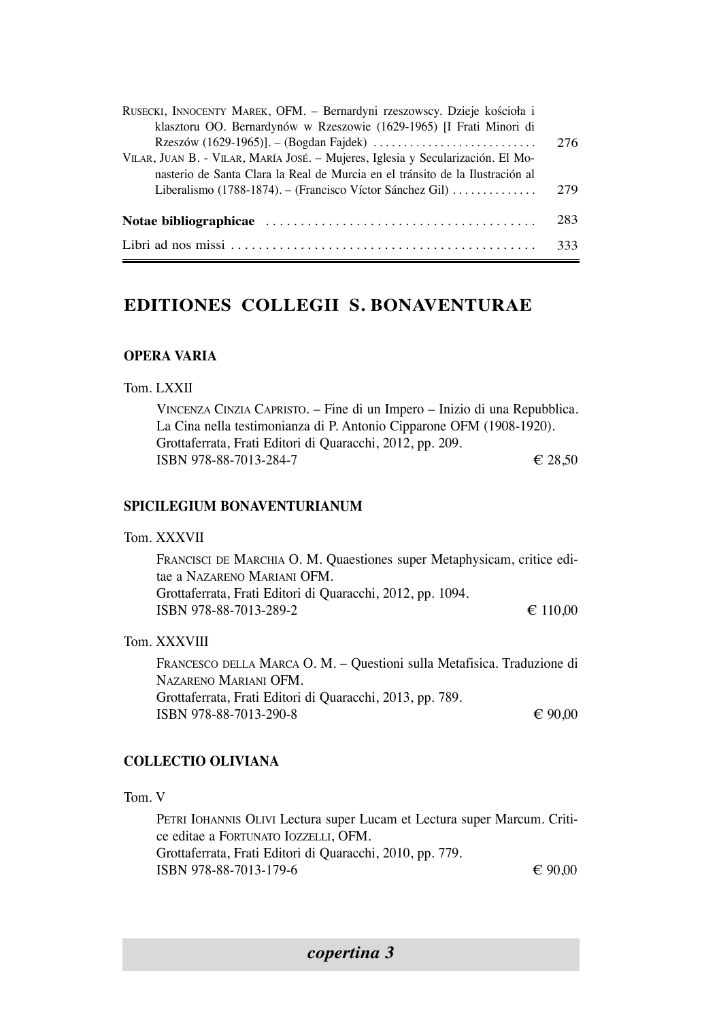| RUSECKI, INNOCENTY MAREK, OFM. - Bernardyni rzeszowscy. Dzieje kościoła i        |     |
|----------------------------------------------------------------------------------|-----|
| klasztoru OO. Bernardynów w Rzeszowie (1629-1965) [I Frati Minori di             |     |
|                                                                                  | 276 |
| VILAR, JUAN B. - VILAR, MARÍA JOSÉ. – Mujeres, Iglesia y Secularización. El Mo-  |     |
| nasterio de Santa Clara la Real de Murcia en el tránsito de la Ilustración al    |     |
| Liberalismo (1788-1874). – (Francisco Víctor Sánchez Gil) $\dots\dots\dots\dots$ | 279 |
|                                                                                  |     |
|                                                                                  | 283 |
|                                                                                  | 333 |

# **EDitioNEs coLLEGii s. BoNAvENturAE**

### **oPErA vAriA**

#### Tom. LXXII

VINCENZA CINZIA CAPRISTO. – Fine di un Impero – Inizio di una Repubblica. La Cina nella testimonianza di P. Antonio Cipparone OFM (1908-1920). Grottaferrata, Frati Editori di Quaracchi, 2012, pp. 209. ISBN 978-88-7013-284-7  $\epsilon$  28,50

# **sPiciLEGium BoNAvENturiANum**

|  | Tom. XXXVII |
|--|-------------|
|--|-------------|

FRANCISCI DE MARCHIA O. M. Quaestiones super Metaphysicam, critice editae a NAZARENO MARIANI OFM. Grottaferrata, Frati Editori di Quaracchi, 2012, pp. 1094. ISBN 978-88-7013-289-2  $\epsilon$  110,00

#### Tom. XXXVIII

FRANCESCO DELLA MARCA O. M. – Questioni sulla Metafisica. Traduzione di nazaReno MaRiani oFM. Grottaferrata, Frati Editori di Quaracchi, 2013, pp. 789. iSbn 978-88-7013-290-8 € 90,00

#### **coLLEctio oLiviANA**

# Tom. V

PETRI IOHANNIS OLIVI Lectura super Lucam et Lectura super Marcum. Critice editae a FORTUNATO IOZZELLI, OFM. Grottaferrata, Frati Editori di Quaracchi, 2010, pp. 779. ISBN 978-88-7013-179-6  $\epsilon$  90,00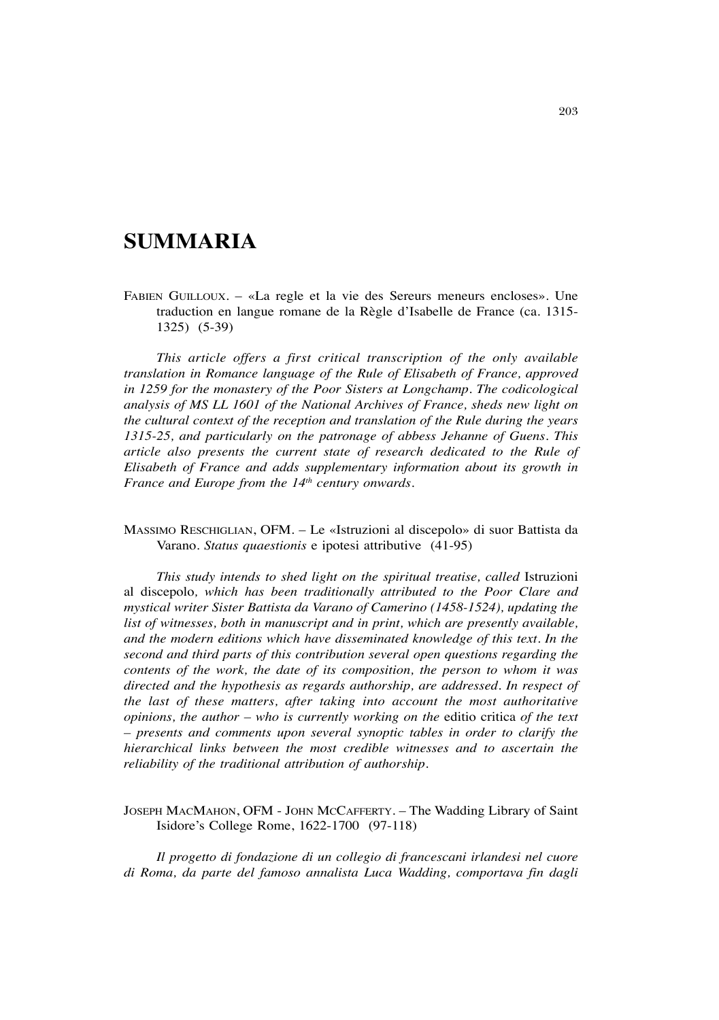# **summaria**

FABIEN GUILLOUX. – «La regle et la vie des Sereurs meneurs encloses». Une traduction en langue romane de la Règle d'isabelle de France (ca. 1315- 1325) (5-39)

*This article offers a first critical transcription of the only available translation in Romance language of the Rule of Elisabeth of France, approved in 1259 for the monastery of the Poor Sisters at Longchamp. The codicological analysis of MS LL 1601 of the National Archives of France, sheds new light on the cultural context of the reception and translation of the Rule during the years 1315-25, and particularly on the patronage of abbess Jehanne of Guens. This article also presents the current state of research dedicated to the Rule of Elisabeth of France and adds supplementary information about its growth in France and Europe from the 14th century onwards.*

MaSSiMo ReSchiGlian, oFM. – le «istruzioni al discepolo» di suor battista da Varano. *Status quaestionis* e ipotesi attributive (41-95)

*This study intends to shed light on the spiritual treatise, called* istruzioni al discepolo*, which has been traditionally attributed to the Poor Clare and mystical writer Sister Battista da Varano of Camerino (1458-1524), updating the list of witnesses, both in manuscript and in print, which are presently available, and the modern editions which have disseminated knowledge of this text. In the second and third parts of this contribution several open questions regarding the contents of the work, the date of its composition, the person to whom it was directed and the hypothesis as regards authorship, are addressed. In respect of the last of these matters, after taking into account the most authoritative opinions, the author – who is currently working on the* editio critica *of the text – presents and comments upon several synoptic tables in order to clarify the hierarchical links between the most credible witnesses and to ascertain the reliability of the traditional attribution of authorship.*

JOSEPH MACMAHON, OFM - JOHN MCCAFFERTY. - The Wadding Library of Saint isidore's college Rome, 1622-1700 (97-118)

*Il progetto di fondazione di un collegio di francescani irlandesi nel cuore di Roma, da parte del famoso annalista Luca Wadding, comportava fin dagli*